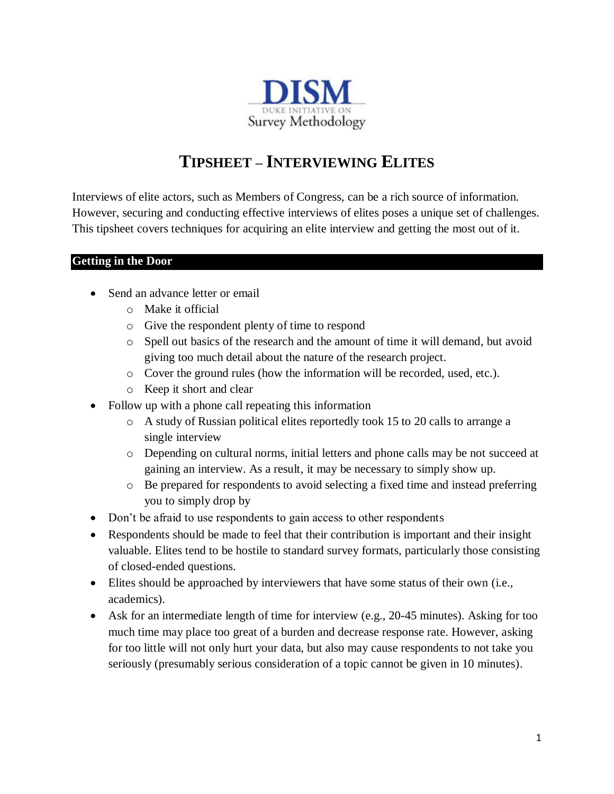

# **TIPSHEET – INTERVIEWING ELITES**

Interviews of elite actors, such as Members of Congress, can be a rich source of information. However, securing and conducting effective interviews of elites poses a unique set of challenges. This tipsheet covers techniques for acquiring an elite interview and getting the most out of it.

### **Getting in the Door**

- Send an advance letter or email
	- o Make it official
	- o Give the respondent plenty of time to respond
	- o Spell out basics of the research and the amount of time it will demand, but avoid giving too much detail about the nature of the research project.
	- o Cover the ground rules (how the information will be recorded, used, etc.).
	- o Keep it short and clear
- Follow up with a phone call repeating this information
	- o A study of Russian political elites reportedly took 15 to 20 calls to arrange a single interview
	- o Depending on cultural norms, initial letters and phone calls may be not succeed at gaining an interview. As a result, it may be necessary to simply show up.
	- o Be prepared for respondents to avoid selecting a fixed time and instead preferring you to simply drop by
- Don't be afraid to use respondents to gain access to other respondents
- Respondents should be made to feel that their contribution is important and their insight valuable. Elites tend to be hostile to standard survey formats, particularly those consisting of closed-ended questions.
- Elites should be approached by interviewers that have some status of their own (i.e., academics).
- Ask for an intermediate length of time for interview (e.g., 20-45 minutes). Asking for too much time may place too great of a burden and decrease response rate. However, asking for too little will not only hurt your data, but also may cause respondents to not take you seriously (presumably serious consideration of a topic cannot be given in 10 minutes).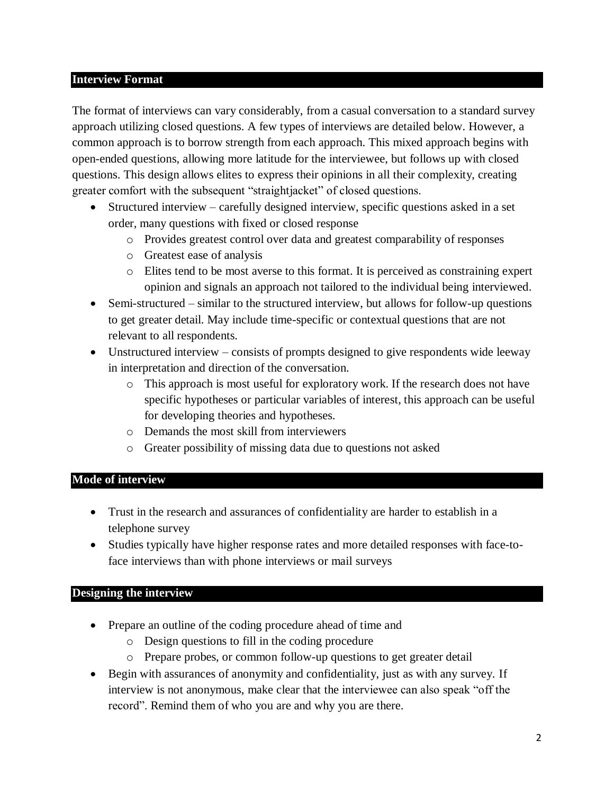#### **Interview Format**

The format of interviews can vary considerably, from a casual conversation to a standard survey approach utilizing closed questions. A few types of interviews are detailed below. However, a common approach is to borrow strength from each approach. This mixed approach begins with open-ended questions, allowing more latitude for the interviewee, but follows up with closed questions. This design allows elites to express their opinions in all their complexity, creating greater comfort with the subsequent "straightjacket" of closed questions.

- Structured interview carefully designed interview, specific questions asked in a set order, many questions with fixed or closed response
	- o Provides greatest control over data and greatest comparability of responses
	- o Greatest ease of analysis
	- o Elites tend to be most averse to this format. It is perceived as constraining expert opinion and signals an approach not tailored to the individual being interviewed.
- Semi-structured similar to the structured interview, but allows for follow-up questions to get greater detail. May include time-specific or contextual questions that are not relevant to all respondents.
- Unstructured interview consists of prompts designed to give respondents wide leeway in interpretation and direction of the conversation.
	- o This approach is most useful for exploratory work. If the research does not have specific hypotheses or particular variables of interest, this approach can be useful for developing theories and hypotheses.
	- o Demands the most skill from interviewers
	- o Greater possibility of missing data due to questions not asked

### **Mode of interview**

- Trust in the research and assurances of confidentiality are harder to establish in a telephone survey
- Studies typically have higher response rates and more detailed responses with face-toface interviews than with phone interviews or mail surveys

### **Designing the interview**

- Prepare an outline of the coding procedure ahead of time and
	- o Design questions to fill in the coding procedure
	- o Prepare probes, or common follow-up questions to get greater detail
- Begin with assurances of anonymity and confidentiality, just as with any survey. If interview is not anonymous, make clear that the interviewee can also speak "off the record". Remind them of who you are and why you are there.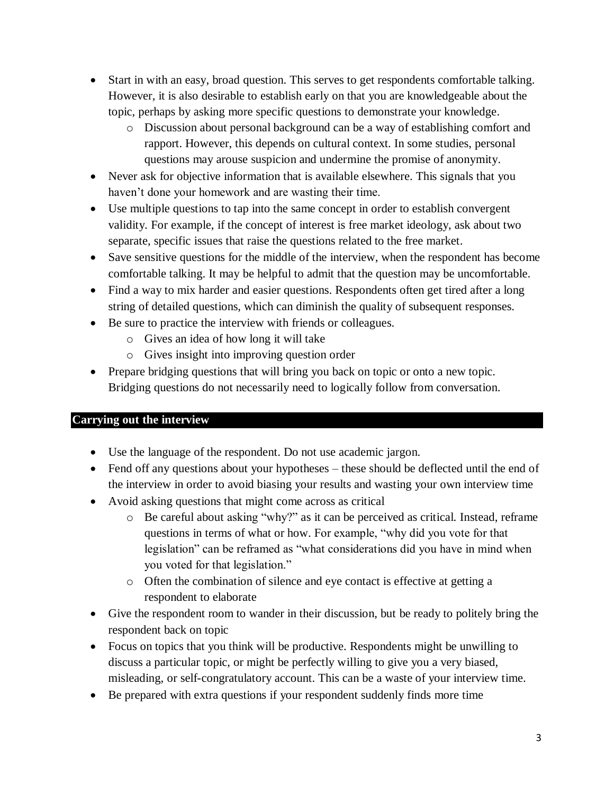- Start in with an easy, broad question. This serves to get respondents comfortable talking. However, it is also desirable to establish early on that you are knowledgeable about the topic, perhaps by asking more specific questions to demonstrate your knowledge.
	- o Discussion about personal background can be a way of establishing comfort and rapport. However, this depends on cultural context. In some studies, personal questions may arouse suspicion and undermine the promise of anonymity.
- Never ask for objective information that is available elsewhere. This signals that you haven't done your homework and are wasting their time.
- Use multiple questions to tap into the same concept in order to establish convergent validity. For example, if the concept of interest is free market ideology, ask about two separate, specific issues that raise the questions related to the free market.
- Save sensitive questions for the middle of the interview, when the respondent has become comfortable talking. It may be helpful to admit that the question may be uncomfortable.
- Find a way to mix harder and easier questions. Respondents often get tired after a long string of detailed questions, which can diminish the quality of subsequent responses.
- Be sure to practice the interview with friends or colleagues.
	- o Gives an idea of how long it will take
	- o Gives insight into improving question order
- Prepare bridging questions that will bring you back on topic or onto a new topic. Bridging questions do not necessarily need to logically follow from conversation.

## **Carrying out the interview**

- Use the language of the respondent. Do not use academic jargon.
- Fend off any questions about your hypotheses these should be deflected until the end of the interview in order to avoid biasing your results and wasting your own interview time
- Avoid asking questions that might come across as critical
	- o Be careful about asking "why?" as it can be perceived as critical. Instead, reframe questions in terms of what or how. For example, "why did you vote for that legislation" can be reframed as "what considerations did you have in mind when you voted for that legislation."
	- o Often the combination of silence and eye contact is effective at getting a respondent to elaborate
- Give the respondent room to wander in their discussion, but be ready to politely bring the respondent back on topic
- Focus on topics that you think will be productive. Respondents might be unwilling to discuss a particular topic, or might be perfectly willing to give you a very biased, misleading, or self-congratulatory account. This can be a waste of your interview time.
- Be prepared with extra questions if your respondent suddenly finds more time